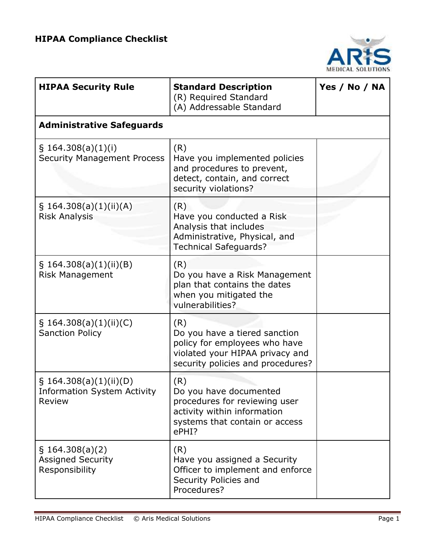

| <b>HIPAA Security Rule</b>                                       | <b>Standard Description</b><br>(R) Required Standard<br>(A) Addressable Standard                                                              | Yes / No / NA |
|------------------------------------------------------------------|-----------------------------------------------------------------------------------------------------------------------------------------------|---------------|
| <b>Administrative Safeguards</b>                                 |                                                                                                                                               |               |
| $\S$ 164.308(a)(1)(i)<br><b>Security Management Process</b>      | (R)<br>Have you implemented policies<br>and procedures to prevent,<br>detect, contain, and correct<br>security violations?                    |               |
| \$164.308(a)(1)(ii)(A)<br><b>Risk Analysis</b>                   | (R)<br>Have you conducted a Risk<br>Analysis that includes<br>Administrative, Physical, and<br><b>Technical Safeguards?</b>                   |               |
| \$164.308(a)(1)(ii)(B)<br><b>Risk Management</b>                 | (R)<br>Do you have a Risk Management<br>plan that contains the dates<br>when you mitigated the<br>vulnerabilities?                            |               |
| $\S$ 164.308(a)(1)(ii)(C)<br><b>Sanction Policy</b>              | (R)<br>Do you have a tiered sanction<br>policy for employees who have<br>violated your HIPAA privacy and<br>security policies and procedures? |               |
| \$164.308(a)(1)(ii)(D)<br>Information System Activity<br>Review  | (R)<br>Do you have documented<br>procedures for reviewing user<br>activity within information<br>systems that contain or access<br>ePHI?      |               |
| $\S$ 164.308(a)(2)<br><b>Assigned Security</b><br>Responsibility | (R)<br>Have you assigned a Security<br>Officer to implement and enforce<br>Security Policies and<br>Procedures?                               |               |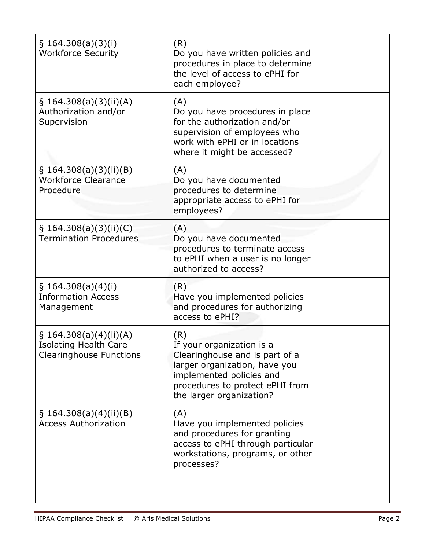| \$164.308(a)(3)(i)<br><b>Workforce Security</b>                                             | (R)<br>Do you have written policies and<br>procedures in place to determine<br>the level of access to ePHI for<br>each employee?                                                               |  |
|---------------------------------------------------------------------------------------------|------------------------------------------------------------------------------------------------------------------------------------------------------------------------------------------------|--|
| $\S$ 164.308(a)(3)(ii)(A)<br>Authorization and/or<br>Supervision                            | (A)<br>Do you have procedures in place<br>for the authorization and/or<br>supervision of employees who<br>work with ePHI or in locations<br>where it might be accessed?                        |  |
| $\S$ 164.308(a)(3)(ii)(B)<br><b>Workforce Clearance</b><br>Procedure                        | (A)<br>Do you have documented<br>procedures to determine<br>appropriate access to ePHI for<br>employees?                                                                                       |  |
| § 164.308(a)(3)(ii)(C)<br><b>Termination Procedures</b>                                     | (A)<br>Do you have documented<br>procedures to terminate access<br>to ePHI when a user is no longer<br>authorized to access?                                                                   |  |
| \$164.308(a)(4)(i)<br><b>Information Access</b><br>Management                               | (R)<br>Have you implemented policies<br>and procedures for authorizing<br>access to ePHI?                                                                                                      |  |
| $\S$ 164.308(a)(4)(ii)(A)<br><b>Isolating Health Care</b><br><b>Clearinghouse Functions</b> | (R)<br>If your organization is a<br>Clearinghouse and is part of a<br>larger organization, have you<br>implemented policies and<br>procedures to protect ePHI from<br>the larger organization? |  |
| $\S$ 164.308(a)(4)(ii)(B)<br><b>Access Authorization</b>                                    | (A)<br>Have you implemented policies<br>and procedures for granting<br>access to ePHI through particular<br>workstations, programs, or other<br>processes?                                     |  |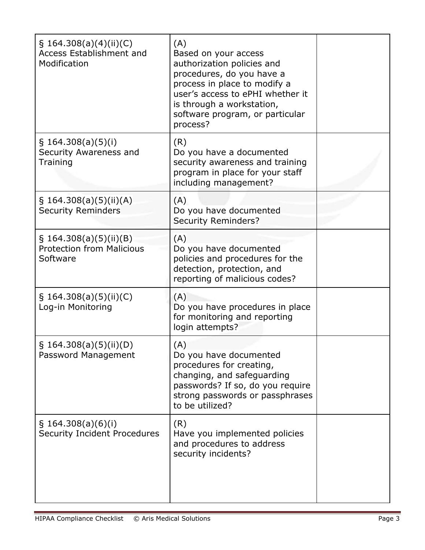| \$164.308(a)(4)(ii)(C)<br><b>Access Establishment and</b><br>Modification | (A)<br>Based on your access<br>authorization policies and<br>procedures, do you have a<br>process in place to modify a<br>user's access to ePHI whether it<br>is through a workstation,<br>software program, or particular<br>process? |  |
|---------------------------------------------------------------------------|----------------------------------------------------------------------------------------------------------------------------------------------------------------------------------------------------------------------------------------|--|
| $\S$ 164.308(a)(5)(i)<br>Security Awareness and<br>Training               | (R)<br>Do you have a documented<br>security awareness and training<br>program in place for your staff<br>including management?                                                                                                         |  |
| \$164.308(a)(5)(ii)(A)<br><b>Security Reminders</b>                       | (A)<br>Do you have documented<br><b>Security Reminders?</b>                                                                                                                                                                            |  |
| $\S$ 164.308(a)(5)(ii)(B)<br><b>Protection from Malicious</b><br>Software | (A)<br>Do you have documented<br>policies and procedures for the<br>detection, protection, and<br>reporting of malicious codes?                                                                                                        |  |
| $\S$ 164.308(a)(5)(ii)(C)<br>Log-in Monitoring                            | (A)<br>Do you have procedures in place<br>for monitoring and reporting<br>login attempts?                                                                                                                                              |  |
| \$164.308(a)(5)(ii)(D)<br>Password Management                             | (A)<br>Do you have documented<br>procedures for creating,<br>changing, and safeguarding<br>passwords? If so, do you require<br>strong passwords or passphrases<br>to be utilized?                                                      |  |
| $\S$ 164.308(a)(6)(i)<br><b>Security Incident Procedures</b>              | (R)<br>Have you implemented policies<br>and procedures to address<br>security incidents?                                                                                                                                               |  |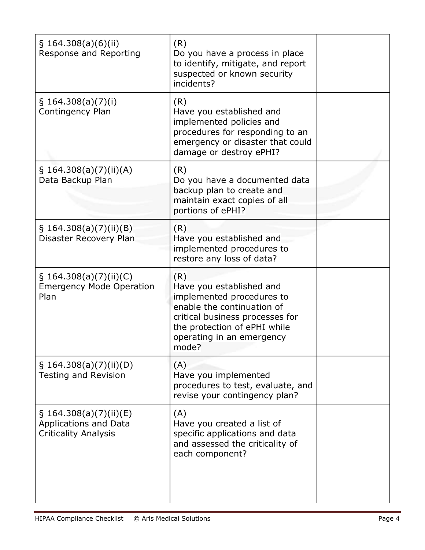| $\S$ 164.308(a)(6)(ii)<br>Response and Reporting                                  | (R)<br>Do you have a process in place<br>to identify, mitigate, and report<br>suspected or known security<br>incidents?                                                                             |  |
|-----------------------------------------------------------------------------------|-----------------------------------------------------------------------------------------------------------------------------------------------------------------------------------------------------|--|
| $\S$ 164.308(a)(7)(i)<br>Contingency Plan                                         | (R)<br>Have you established and<br>implemented policies and<br>procedures for responding to an<br>emergency or disaster that could<br>damage or destroy ePHI?                                       |  |
| § 164.308(a)(7)(ii)(A)<br>Data Backup Plan                                        | (R)<br>Do you have a documented data<br>backup plan to create and<br>maintain exact copies of all<br>portions of ePHI?                                                                              |  |
| $\S$ 164.308(a)(7)(ii)(B)<br>Disaster Recovery Plan                               | (R)<br>Have you established and<br>implemented procedures to<br>restore any loss of data?                                                                                                           |  |
| $\S$ 164.308(a)(7)(ii)(C)<br><b>Emergency Mode Operation</b><br>Plan              | (R)<br>Have you established and<br>implemented procedures to<br>enable the continuation of<br>critical business processes for<br>the protection of ePHI while<br>operating in an emergency<br>mode? |  |
| $\S$ 164.308(a)(7)(ii)(D)<br><b>Testing and Revision</b>                          | (A)<br>Have you implemented<br>procedures to test, evaluate, and<br>revise your contingency plan?                                                                                                   |  |
| $\S$ 164.308(a)(7)(ii)(E)<br>Applications and Data<br><b>Criticality Analysis</b> | (A)<br>Have you created a list of<br>specific applications and data<br>and assessed the criticality of<br>each component?                                                                           |  |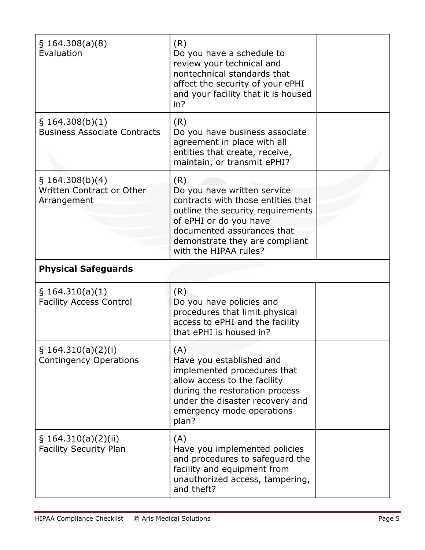| \$164.308(a)(8)<br>Evaluation                               | (R)<br>Do you have a schedule to<br>review your technical and<br>nontechnical standards that<br>affect the security of your ePHI<br>and your facility that it is housed<br>in?                                                   |  |
|-------------------------------------------------------------|----------------------------------------------------------------------------------------------------------------------------------------------------------------------------------------------------------------------------------|--|
| $\S$ 164.308(b)(1)<br><b>Business Associate Contracts</b>   | (R)<br>Do you have business associate<br>agreement in place with all<br>entities that create, receive,<br>maintain, or transmit ePHI?                                                                                            |  |
| \$164.308(b)(4)<br>Written Contract or Other<br>Arrangement | (R)<br>Do you have written service<br>contracts with those entities that<br>outline the security requirements<br>of ePHI or do you have<br>documented assurances that<br>demonstrate they are compliant<br>with the HIPAA rules? |  |
| <b>Physical Safeguards</b>                                  |                                                                                                                                                                                                                                  |  |
| $\S$ 164.310(a)(1)<br><b>Facility Access Control</b>        | (R)<br>Do you have policies and<br>procedures that limit physical<br>access to ePHI and the facility<br>that ePHI is housed in?                                                                                                  |  |
| $\S$ 164.310(a)(2)(i)<br><b>Contingency Operations</b>      | (A)<br>Have you established and<br>implemented procedures that<br>allow access to the facility<br>during the restoration process<br>under the disaster recovery and<br>emergency mode operations<br>plan?                        |  |
| $\S$ 164.310(a)(2)(ii)<br><b>Facility Security Plan</b>     | (A)<br>Have you implemented policies<br>and procedures to safeguard the<br>facility and equipment from<br>unauthorized access, tampering,<br>and theft?                                                                          |  |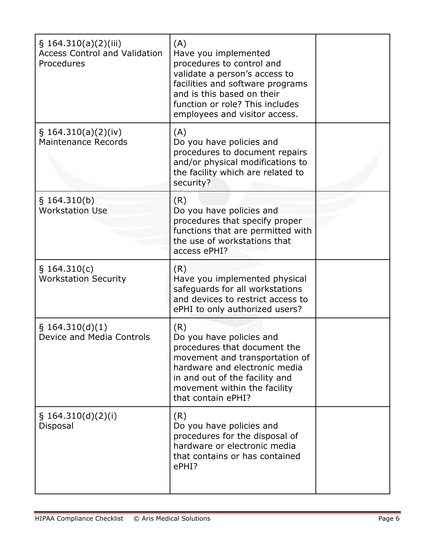| \$164.310(a)(2)(iii)<br><b>Access Control and Validation</b><br>Procedures | (A)<br>Have you implemented<br>procedures to control and<br>validate a person's access to<br>facilities and software programs<br>and is this based on their<br>function or role? This includes<br>employees and visitor access. |  |
|----------------------------------------------------------------------------|---------------------------------------------------------------------------------------------------------------------------------------------------------------------------------------------------------------------------------|--|
| \$164.310(a)(2)(iv)<br><b>Maintenance Records</b>                          | (A)<br>Do you have policies and<br>procedures to document repairs<br>and/or physical modifications to<br>the facility which are related to<br>security?                                                                         |  |
| § 164.310(b)<br><b>Workstation Use</b>                                     | (R)<br>Do you have policies and<br>procedures that specify proper<br>functions that are permitted with<br>the use of workstations that<br>access ePHI?                                                                          |  |
| § 164.310(c)<br><b>Workstation Security</b>                                | (R)<br>Have you implemented physical<br>safeguards for all workstations<br>and devices to restrict access to<br>ePHI to only authorized users?                                                                                  |  |
| § 164.310(d)(1)<br>Device and Media Controls                               | (R)<br>Do you have policies and<br>procedures that document the<br>movement and transportation of<br>hardware and electronic media<br>in and out of the facility and<br>movement within the facility<br>that contain ePHI?      |  |
| § $164.310(d)(2)(i)$<br>Disposal                                           | (R)<br>Do you have policies and<br>procedures for the disposal of<br>hardware or electronic media<br>that contains or has contained<br>ePHI?                                                                                    |  |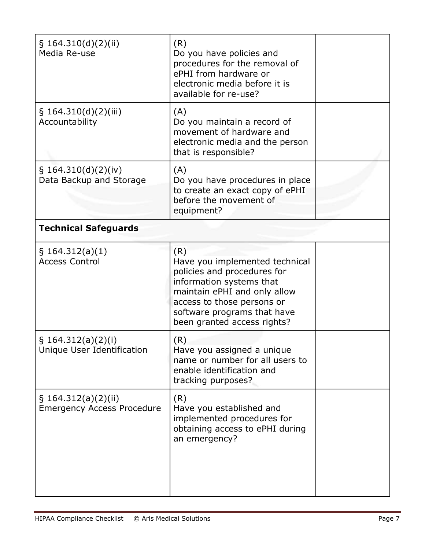| § $164.310(d)(2)(ii)$<br>Media Re-use                       | (R)<br>Do you have policies and<br>procedures for the removal of<br>ePHI from hardware or<br>electronic media before it is<br>available for re-use?                                                                          |  |
|-------------------------------------------------------------|------------------------------------------------------------------------------------------------------------------------------------------------------------------------------------------------------------------------------|--|
| \$164.310(d)(2)(iii)<br>Accountability                      | (A)<br>Do you maintain a record of<br>movement of hardware and<br>electronic media and the person<br>that is responsible?                                                                                                    |  |
| \$164.310(d)(2)(iv)<br>Data Backup and Storage              | (A)<br>Do you have procedures in place<br>to create an exact copy of ePHI<br>before the movement of<br>equipment?                                                                                                            |  |
| <b>Technical Safeguards</b>                                 |                                                                                                                                                                                                                              |  |
| $\S$ 164.312(a)(1)<br><b>Access Control</b>                 | (R)<br>Have you implemented technical<br>policies and procedures for<br>information systems that<br>maintain ePHI and only allow<br>access to those persons or<br>software programs that have<br>been granted access rights? |  |
| $\S$ 164.312(a)(2)(i)<br>Unique User Identification         | (R)<br>Have you assigned a unique<br>name or number for all users to<br>enable identification and<br>tracking purposes?                                                                                                      |  |
| $\S$ 164.312(a)(2)(ii)<br><b>Emergency Access Procedure</b> | (R)<br>Have you established and<br>implemented procedures for<br>obtaining access to ePHI during<br>an emergency?                                                                                                            |  |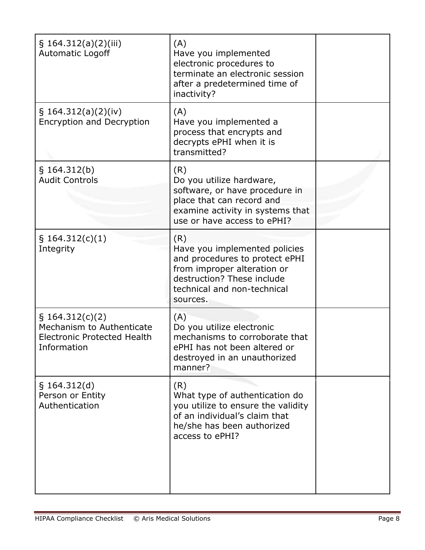| \$164.312(a)(2)(iii)<br><b>Automatic Logoff</b>                                                      | (A)<br>Have you implemented<br>electronic procedures to<br>terminate an electronic session<br>after a predetermined time of<br>inactivity?                                     |  |
|------------------------------------------------------------------------------------------------------|--------------------------------------------------------------------------------------------------------------------------------------------------------------------------------|--|
| $\S$ 164.312(a)(2)(iv)<br><b>Encryption and Decryption</b>                                           | (A)<br>Have you implemented a<br>process that encrypts and<br>decrypts ePHI when it is<br>transmitted?                                                                         |  |
| § 164.312(b)<br><b>Audit Controls</b>                                                                | (R)<br>Do you utilize hardware,<br>software, or have procedure in<br>place that can record and<br>examine activity in systems that<br>use or have access to ePHI?              |  |
| \$164.312(c)(1)<br>Integrity                                                                         | (R)<br>Have you implemented policies<br>and procedures to protect ePHI<br>from improper alteration or<br>destruction? These include<br>technical and non-technical<br>sources. |  |
| $\S$ 164.312(c)(2)<br>Mechanism to Authenticate<br><b>Electronic Protected Health</b><br>Information | (A)<br>Do you utilize electronic<br>mechanisms to corroborate that<br>ePHI has not been altered or<br>destroyed in an unauthorized<br>manner?                                  |  |
| § 164.312(d)<br>Person or Entity<br>Authentication                                                   | (R)<br>What type of authentication do<br>you utilize to ensure the validity<br>of an individual's claim that<br>he/she has been authorized<br>access to ePHI?                  |  |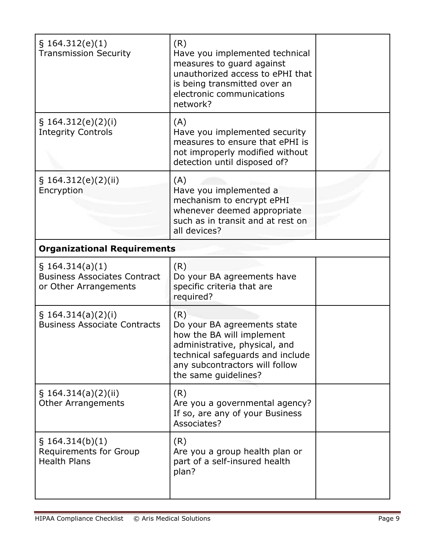| § 164.312(e)(1)<br><b>Transmission Security</b>                                    | (R)<br>Have you implemented technical<br>measures to guard against<br>unauthorized access to ePHI that<br>is being transmitted over an<br>electronic communications<br>network?                |  |
|------------------------------------------------------------------------------------|------------------------------------------------------------------------------------------------------------------------------------------------------------------------------------------------|--|
| \$164.312(e)(2)(i)<br><b>Integrity Controls</b>                                    | (A)<br>Have you implemented security<br>measures to ensure that ePHI is<br>not improperly modified without<br>detection until disposed of?                                                     |  |
| § 164.312(e)(2)(ii)<br>Encryption                                                  | (A)<br>Have you implemented a<br>mechanism to encrypt ePHI<br>whenever deemed appropriate<br>such as in transit and at rest on<br>all devices?                                                 |  |
| <b>Organizational Requirements</b>                                                 |                                                                                                                                                                                                |  |
| $\S$ 164.314(a)(1)<br><b>Business Associates Contract</b><br>or Other Arrangements | (R)<br>Do your BA agreements have<br>specific criteria that are<br>required?                                                                                                                   |  |
| $\S$ 164.314(a)(2)(i)<br><b>Business Associate Contracts</b>                       | (R)<br>Do your BA agreements state<br>how the BA will implement<br>administrative, physical, and<br>technical safeguards and include<br>any subcontractors will follow<br>the same guidelines? |  |
| $\S$ 164.314(a)(2)(ii)<br><b>Other Arrangements</b>                                | (R)<br>Are you a governmental agency?<br>If so, are any of your Business<br>Associates?                                                                                                        |  |
| $\S$ 164.314(b)(1)<br><b>Requirements for Group</b><br><b>Health Plans</b>         | (R)<br>Are you a group health plan or<br>part of a self-insured health<br>plan?                                                                                                                |  |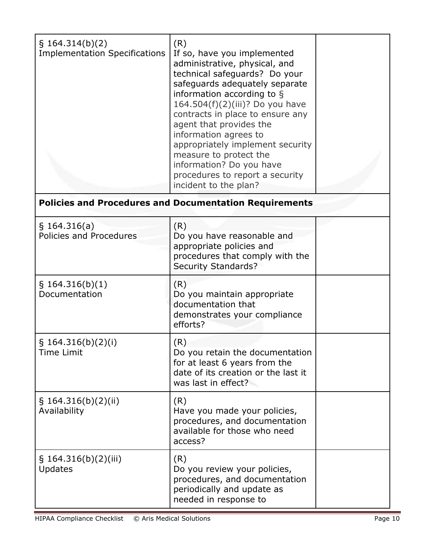| § 164.314(b)(2)<br><b>Implementation Specifications</b> | (R)<br>If so, have you implemented<br>administrative, physical, and<br>technical safeguards? Do your<br>safeguards adequately separate<br>information according to §<br>164.504(f)(2)(iii)? Do you have<br>contracts in place to ensure any<br>agent that provides the<br>information agrees to<br>appropriately implement security<br>measure to protect the<br>information? Do you have<br>procedures to report a security<br>incident to the plan? |  |
|---------------------------------------------------------|-------------------------------------------------------------------------------------------------------------------------------------------------------------------------------------------------------------------------------------------------------------------------------------------------------------------------------------------------------------------------------------------------------------------------------------------------------|--|

## **Policies and Procedures and Documentation Requirements**

| $\S$ 164.316(a)<br>Policies and Procedures | (R)<br>Do you have reasonable and<br>appropriate policies and<br>procedures that comply with the<br><b>Security Standards?</b>        |  |
|--------------------------------------------|---------------------------------------------------------------------------------------------------------------------------------------|--|
| § 164.316(b)(1)<br>Documentation           | (R)<br>Do you maintain appropriate<br>documentation that<br>demonstrates your compliance<br>efforts?                                  |  |
| $\S$ 164.316(b)(2)(i)<br>Time Limit        | (R)<br>Do you retain the documentation<br>for at least 6 years from the<br>date of its creation or the last it<br>was last in effect? |  |
| \$164.316(b)(2)(ii)<br>Availability        | (R)<br>Have you made your policies,<br>procedures, and documentation<br>available for those who need<br>access?                       |  |
| \$164.316(b)(2)(iii)<br><b>Updates</b>     | (R)<br>Do you review your policies,<br>procedures, and documentation<br>periodically and update as<br>needed in response to           |  |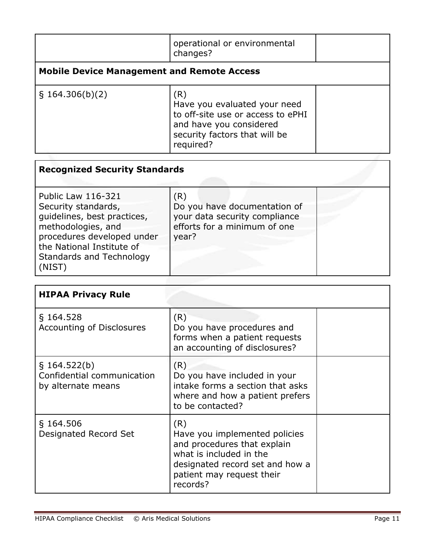|                                                   | operational or environmental<br>changes?                                                                                                          |  |
|---------------------------------------------------|---------------------------------------------------------------------------------------------------------------------------------------------------|--|
| <b>Mobile Device Management and Remote Access</b> |                                                                                                                                                   |  |
| $\S$ 164.306(b)(2)                                | (R)<br>Have you evaluated your need<br>to off-site use or access to ePHI<br>and have you considered<br>security factors that will be<br>required? |  |

| <b>Recognized Security Standards</b>                                                                                                                                                                          |                                                                                                               |  |  |  |
|---------------------------------------------------------------------------------------------------------------------------------------------------------------------------------------------------------------|---------------------------------------------------------------------------------------------------------------|--|--|--|
| <b>Public Law 116-321</b><br>Security standards,<br>quidelines, best practices,<br>methodologies, and<br>procedures developed under<br>the National Institute of<br><b>Standards and Technology</b><br>(NIST) | (R)<br>Do you have documentation of<br>your data security compliance<br>efforts for a minimum of one<br>year? |  |  |  |

| <b>HIPAA Privacy Rule</b>                                           |                                                                                                                                                                            |  |
|---------------------------------------------------------------------|----------------------------------------------------------------------------------------------------------------------------------------------------------------------------|--|
| $\S$ 164.528<br>Accounting of Disclosures                           | (R)<br>Do you have procedures and<br>forms when a patient requests<br>an accounting of disclosures?                                                                        |  |
| $\S$ 164.522(b)<br>Confidential communication<br>by alternate means | (R)<br>Do you have included in your<br>intake forms a section that asks<br>where and how a patient prefers<br>to be contacted?                                             |  |
| $\S$ 164.506<br>Designated Record Set                               | (R)<br>Have you implemented policies<br>and procedures that explain<br>what is included in the<br>designated record set and how a<br>patient may request their<br>records? |  |